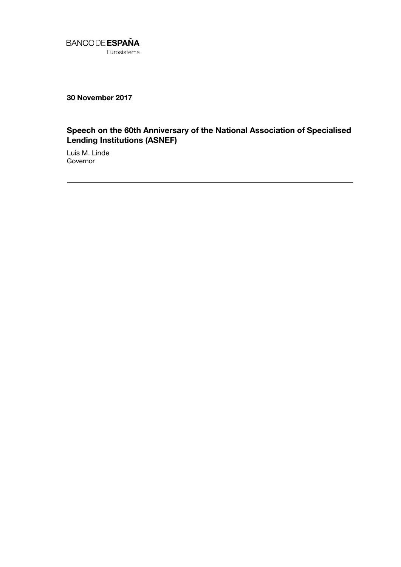

**30 November 2017**

## **Speech on the 60th Anniversary of the National Association of Specialised Lending Institutions (ASNEF)**

Luis M. Linde **Governor**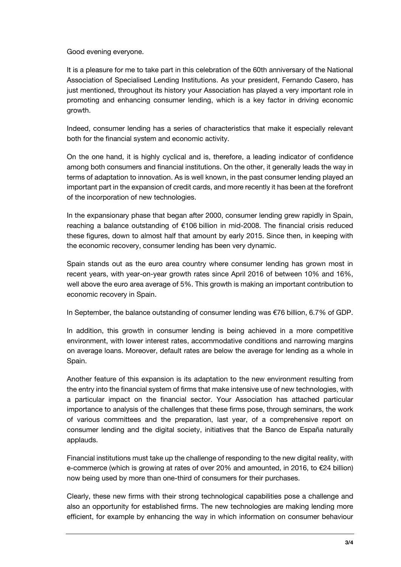Good evening everyone.

It is a pleasure for me to take part in this celebration of the 60th anniversary of the National Association of Specialised Lending Institutions. As your president, Fernando Casero, has just mentioned, throughout its history your Association has played a very important role in promoting and enhancing consumer lending, which is a key factor in driving economic growth.

Indeed, consumer lending has a series of characteristics that make it especially relevant both for the financial system and economic activity.

On the one hand, it is highly cyclical and is, therefore, a leading indicator of confidence among both consumers and financial institutions. On the other, it generally leads the way in terms of adaptation to innovation. As is well known, in the past consumer lending played an important part in the expansion of credit cards, and more recently it has been at the forefront of the incorporation of new technologies.

In the expansionary phase that began after 2000, consumer lending grew rapidly in Spain, reaching a balance outstanding of €106 billion in mid-2008. The financial crisis reduced these figures, down to almost half that amount by early 2015. Since then, in keeping with the economic recovery, consumer lending has been very dynamic.

Spain stands out as the euro area country where consumer lending has grown most in recent years, with year-on-year growth rates since April 2016 of between 10% and 16%, well above the euro area average of 5%. This growth is making an important contribution to economic recovery in Spain.

In September, the balance outstanding of consumer lending was €76 billion, 6.7% of GDP.

In addition, this growth in consumer lending is being achieved in a more competitive environment, with lower interest rates, accommodative conditions and narrowing margins on average loans. Moreover, default rates are below the average for lending as a whole in Spain.

Another feature of this expansion is its adaptation to the new environment resulting from the entry into the financial system of firms that make intensive use of new technologies, with a particular impact on the financial sector. Your Association has attached particular importance to analysis of the challenges that these firms pose, through seminars, the work of various committees and the preparation, last year, of a comprehensive report on consumer lending and the digital society, initiatives that the Banco de España naturally applauds.

Financial institutions must take up the challenge of responding to the new digital reality, with e-commerce (which is growing at rates of over 20% and amounted, in 2016, to €24 billion) now being used by more than one-third of consumers for their purchases.

Clearly, these new firms with their strong technological capabilities pose a challenge and also an opportunity for established firms. The new technologies are making lending more efficient, for example by enhancing the way in which information on consumer behaviour